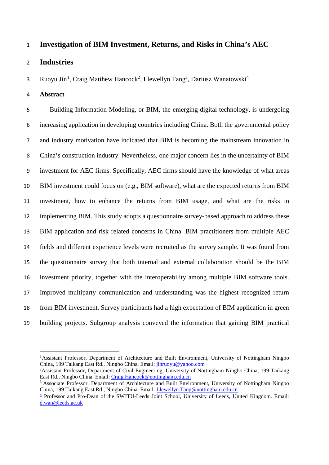## **Investigation of BIM Investment, Returns, and Risks in China's AEC**

## **Industries**

3 Ruoyu Jin<sup>[1](#page-0-0)</sup>, Craig Matthew Hancock<sup>2</sup>, Llewellyn Tang<sup>3</sup>, Dariusz Wanatowski<sup>4</sup>

**Abstract**

 $\overline{\phantom{a}}$ 

 Building Information Modeling, or BIM, the emerging digital technology, is undergoing increasing application in developing countries including China. Both the governmental policy and industry motivation have indicated that BIM is becoming the mainstream innovation in China's construction industry. Nevertheless, one major concern lies in the uncertainty of BIM investment for AEC firms. Specifically, AEC firms should have the knowledge of what areas BIM investment could focus on (e.g., BIM software), what are the expected returns from BIM investment, how to enhance the returns from BIM usage, and what are the risks in implementing BIM. This study adopts a questionnaire survey-based approach to address these BIM application and risk related concerns in China. BIM practitioners from multiple AEC fields and different experience levels were recruited as the survey sample. It was found from the questionnaire survey that both internal and external collaboration should be the BIM investment priority, together with the interoperability among multiple BIM software tools. Improved multiparty communication and understanding was the highest recognized return from BIM investment. Survey participants had a high expectation of BIM application in green building projects. Subgroup analysis conveyed the information that gaining BIM practical

<sup>2</sup> Assistant Professor, Department of Civil Engineering, University of Nottingham Ningbo China, 199 Taikang East Rd., Ningbo China. Email: [Craig.Hancock@nottingham.edu.cn](mailto:Craig.Hancock@nottingham.edu.cn)

<span id="page-0-0"></span><sup>1</sup>Assistant Professor, Department of Architecture and Built Environment, University of Nottingham Ningbo China, 199 Taikang East Rd., Ningbo China. Email: [jinruoyu@yahoo.com](mailto:jinruoyu@yahoo.com)

<sup>&</sup>lt;sup>3</sup> Associate Professor, Department of Architecture and Built Environment, University of Nottingham Ningbo China, 199 Taikang East Rd., Ningbo China. Email: [Llewellyn.Tang@nottingham.edu.cn](mailto:Llewellyn.Tang@nottingham.edu.cn)

<sup>&</sup>lt;sup>4</sup> Professor and Pro-Dean of the SWJTU-Leeds Joint School, University of Leeds, United Kingdom. Email: [d.wan@leeds.ac.uk](mailto:d.wan@leeds.ac.uk)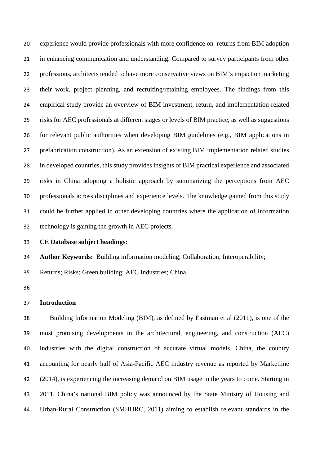experience would provide professionals with more confidence on returns from BIM adoption in enhancing communication and understanding. Compared to survey participants from other professions, architects tended to have more conservative views on BIM's impact on marketing their work, project planning, and recruiting/retaining employees. The findings from this empirical study provide an overview of BIM investment, return, and implementation-related risks for AEC professionals at different stages or levels of BIM practice, as well as suggestions for relevant public authorities when developing BIM guidelines (e.g., BIM applications in prefabrication construction). As an extension of existing BIM implementation related studies in developed countries, this study provides insights of BIM practical experience and associated risks in China adopting a holistic approach by summarizing the perceptions from AEC professionals across disciplines and experience levels. The knowledge gained from this study could be further applied in other developing countries where the application of information technology is gaining the growth in AEC projects.

**CE Database subject headings:**

**Author Keywords:** Building information modeling; Collaboration; Interoperability;

Returns; Risks; Green building; AEC Industries; China.

## **Introduction**

 Building Information Modeling (BIM), as defined by Eastman et al (2011), is one of the most promising developments in the architectural, engineering, and construction (AEC) industries with the digital construction of accurate virtual models. China, the country accounting for nearly half of Asia-Pacific AEC industry revenue as reported by Marketline (2014), is experiencing the increasing demand on BIM usage in the years to come. Starting in 2011, China's national BIM policy was announced by the State Ministry of Housing and Urban-Rural Construction (SMHURC, 2011) aiming to establish relevant standards in the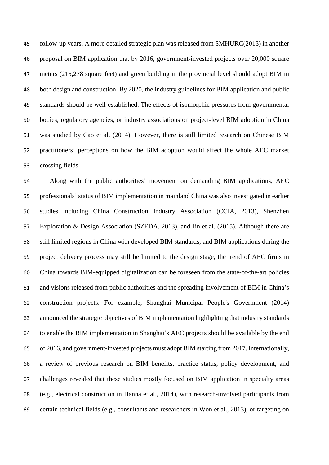follow-up years. A more detailed strategic plan was released from SMHURC(2013) in another proposal on BIM application that by 2016, government-invested projects over 20,000 square meters (215,278 square feet) and green building in the provincial level should adopt BIM in both design and construction. By 2020, the industry guidelines for BIM application and public standards should be well-established. The effects of isomorphic pressures from governmental bodies, regulatory agencies, or industry associations on project-level BIM adoption in China was studied by Cao et al. (2014). However, there is still limited research on Chinese BIM practitioners' perceptions on how the BIM adoption would affect the whole AEC market crossing fields.

 Along with the public authorities' movement on demanding BIM applications, AEC professionals' status of BIM implementation in mainland China was also investigated in earlier studies including China Construction Industry Association (CCIA, 2013), Shenzhen Exploration & Design Association (SZEDA, 2013), and Jin et al. (2015). Although there are still limited regions in China with developed BIM standards, and BIM applications during the project delivery process may still be limited to the design stage, the trend of AEC firms in China towards BIM-equipped digitalization can be foreseen from the state-of-the-art policies and visions released from public authorities and the spreading involvement of BIM in China's construction projects. For example, Shanghai Municipal People's Government (2014) announced the strategic objectives of BIM implementation highlighting that industry standards to enable the BIM implementation in Shanghai's AEC projects should be available by the end of 2016, and government-invested projects must adopt BIM starting from 2017. Internationally, a review of previous research on BIM benefits, practice status, policy development, and challenges revealed that these studies mostly focused on BIM application in specialty areas (e.g., electrical construction in Hanna et al., 2014), with research-involved participants from certain technical fields (e.g., consultants and researchers in Won et al., 2013), or targeting on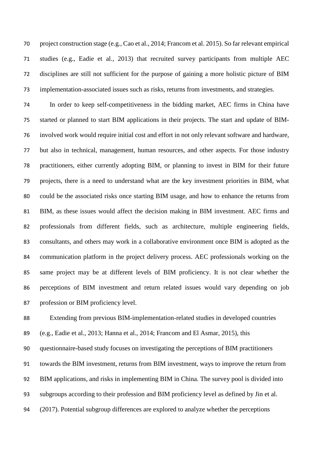project construction stage (e.g., Cao et al., 2014; Francom et al. 2015). So far relevant empirical studies (e.g., Eadie et al., 2013) that recruited survey participants from multiple AEC disciplines are still not sufficient for the purpose of gaining a more holistic picture of BIM implementation-associated issues such as risks, returns from investments, and strategies.

 In order to keep self-competitiveness in the bidding market, AEC firms in China have started or planned to start BIM applications in their projects. The start and update of BIM- involved work would require initial cost and effort in not only relevant software and hardware, but also in technical, management, human resources, and other aspects. For those industry practitioners, either currently adopting BIM, or planning to invest in BIM for their future projects, there is a need to understand what are the key investment priorities in BIM, what could be the associated risks once starting BIM usage, and how to enhance the returns from BIM, as these issues would affect the decision making in BIM investment. AEC firms and professionals from different fields, such as architecture, multiple engineering fields, consultants, and others may work in a collaborative environment once BIM is adopted as the communication platform in the project delivery process. AEC professionals working on the same project may be at different levels of BIM proficiency. It is not clear whether the perceptions of BIM investment and return related issues would vary depending on job profession or BIM proficiency level.

Extending from previous BIM-implementation-related studies in developed countries

(e.g., Eadie et al., 2013; Hanna et al., 2014; Francom and El Asmar, 2015), this

questionnaire-based study focuses on investigating the perceptions of BIM practitioners

towards the BIM investment, returns from BIM investment, ways to improve the return from

BIM applications, and risks in implementing BIM in China. The survey pool is divided into

subgroups according to their profession and BIM proficiency level as defined by Jin et al.

(2017). Potential subgroup differences are explored to analyze whether the perceptions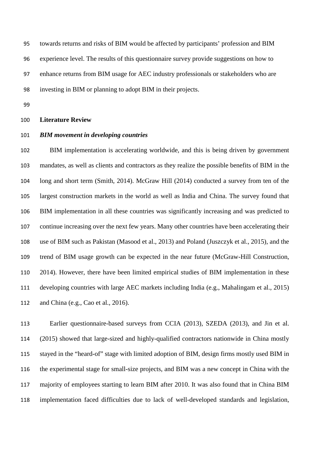towards returns and risks of BIM would be affected by participants' profession and BIM experience level. The results of this questionnaire survey provide suggestions on how to enhance returns from BIM usage for AEC industry professionals or stakeholders who are investing in BIM or planning to adopt BIM in their projects.

### **Literature Review**

#### *BIM movement in developing countries*

 BIM implementation is accelerating worldwide, and this is being driven by government mandates, as well as clients and contractors as they realize the possible benefits of BIM in the long and short term (Smith, 2014). McGraw Hill (2014) conducted a survey from ten of the largest construction markets in the world as well as India and China. The survey found that BIM implementation in all these countries was significantly increasing and was predicted to continue increasing over the next few years. Many other countries have been accelerating their use of BIM such as Pakistan (Masood et al., 2013) and Poland (Juszczyk et al., 2015), and the trend of BIM usage growth can be expected in the near future (McGraw-Hill Construction, 2014). However, there have been limited empirical studies of BIM implementation in these developing countries with large AEC markets including India (e.g., Mahalingam et al., 2015) and China (e.g., Cao et al., 2016).

 Earlier questionnaire-based surveys from CCIA (2013), SZEDA (2013), and Jin et al. (2015) showed that large-sized and highly-qualified contractors nationwide in China mostly stayed in the "heard-of" stage with limited adoption of BIM, design firms mostly used BIM in the experimental stage for small-size projects, and BIM was a new concept in China with the majority of employees starting to learn BIM after 2010. It was also found that in China BIM implementation faced difficulties due to lack of well-developed standards and legislation,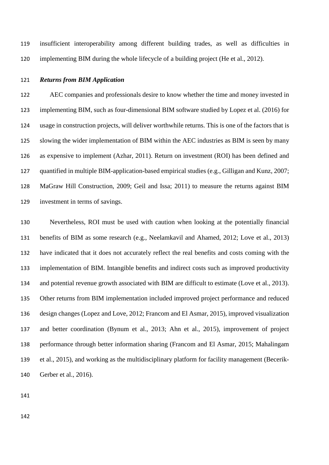insufficient interoperability among different building trades, as well as difficulties in implementing BIM during the whole lifecycle of a building project (He et al., 2012).

## *Returns from BIM Application*

 AEC companies and professionals desire to know whether the time and money invested in implementing BIM, such as four-dimensional BIM software studied by Lopez et al. (2016) for usage in construction projects, will deliver worthwhile returns. This is one of the factors that is slowing the wider implementation of BIM within the AEC industries as BIM is seen by many as expensive to implement (Azhar, 2011). Return on investment (ROI) has been defined and quantified in multiple BIM-application-based empirical studies (e.g., Gilligan and Kunz, 2007; MaGraw Hill Construction, 2009; Geil and Issa; 2011) to measure the returns against BIM investment in terms of savings.

 Nevertheless, ROI must be used with caution when looking at the potentially financial benefits of BIM as some research (e.g., Neelamkavil and Ahamed, 2012; Love et al., 2013) have indicated that it does not accurately reflect the real benefits and costs coming with the implementation of BIM. Intangible benefits and indirect costs such as improved productivity and potential revenue growth associated with BIM are difficult to estimate (Love et al., 2013). Other returns from BIM implementation included improved project performance and reduced design changes (Lopez and Love, 2012; Francom and El Asmar, 2015), improved visualization and better coordination (Bynum et al., 2013; Ahn et al., 2015), improvement of project performance through better information sharing (Francom and El Asmar, 2015; Mahalingam et al., 2015), and working as the multidisciplinary platform for facility management (Becerik-Gerber et al., 2016).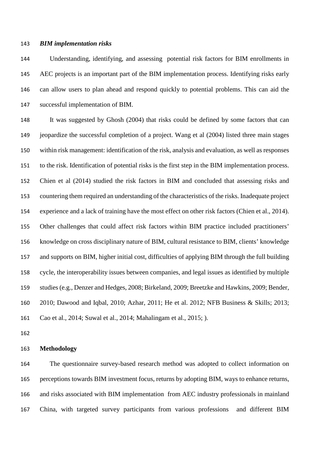#### *BIM implementation risks*

 Understanding, identifying, and assessing potential risk factors for BIM enrollments in AEC projects is an important part of the BIM implementation process. Identifying risks early can allow users to plan ahead and respond quickly to potential problems. This can aid the successful implementation of BIM.

 It was suggested by Ghosh (2004) that risks could be defined by some factors that can jeopardize the successful completion of a project. Wang et al (2004) listed three main stages within risk management: identification of the risk, analysis and evaluation, as well as responses to the risk. Identification of potential risks is the first step in the BIM implementation process. Chien et al (2014) studied the risk factors in BIM and concluded that assessing risks and countering them required an understanding of the characteristics of the risks. Inadequate project experience and a lack of training have the most effect on other risk factors (Chien et al., 2014). Other challenges that could affect risk factors within BIM practice included practitioners' knowledge on cross disciplinary nature of BIM, cultural resistance to BIM, clients' knowledge and supports on BIM, higher initial cost, difficulties of applying BIM through the full building cycle, the interoperability issues between companies, and legal issues as identified by multiple studies (e.g., Denzer and Hedges, 2008; Birkeland, 2009; Breetzke and Hawkins, 2009; Bender, 2010; Dawood and Iqbal, 2010; Azhar, 2011; He et al. 2012; NFB Business & Skills; 2013; Cao et al., 2014; Suwal et al., 2014; Mahalingam et al., 2015; ).

## **Methodology**

 The questionnaire survey-based research method was adopted to collect information on perceptions towards BIM investment focus, returns by adopting BIM, ways to enhance returns, and risks associated with BIM implementation from AEC industry professionals in mainland China, with targeted survey participants from various professions and different BIM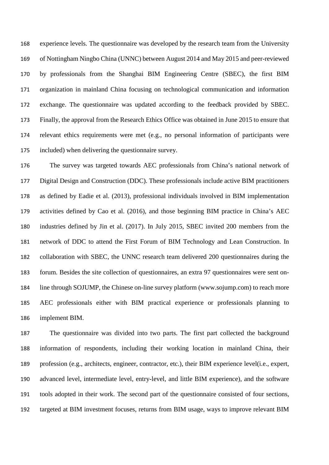experience levels. The questionnaire was developed by the research team from the University of Nottingham Ningbo China (UNNC) between August 2014 and May 2015 and peer-reviewed by professionals from the Shanghai BIM Engineering Centre (SBEC), the first BIM organization in mainland China focusing on technological communication and information exchange. The questionnaire was updated according to the feedback provided by SBEC. Finally, the approval from the Research Ethics Office was obtained in June 2015 to ensure that relevant ethics requirements were met (e.g., no personal information of participants were included) when delivering the questionnaire survey.

 The survey was targeted towards AEC professionals from China's national network of Digital Design and Construction (DDC). These professionals include active BIM practitioners as defined by Eadie et al. (2013), professional individuals involved in BIM implementation activities defined by Cao et al. (2016), and those beginning BIM practice in China's AEC industries defined by Jin et al. (2017). In July 2015, SBEC invited 200 members from the network of DDC to attend the First Forum of BIM Technology and Lean Construction. In collaboration with SBEC, the UNNC research team delivered 200 questionnaires during the forum. Besides the site collection of questionnaires, an extra 97 questionnaires were sent on- line through SOJUMP, the Chinese on-line survey platform (www.sojump.com) to reach more AEC professionals either with BIM practical experience or professionals planning to implement BIM.

 The questionnaire was divided into two parts. The first part collected the background information of respondents, including their working location in mainland China, their profession (e.g., architects, engineer, contractor, etc.), their BIM experience level(i.e., expert, advanced level, intermediate level, entry-level, and little BIM experience), and the software tools adopted in their work. The second part of the questionnaire consisted of four sections, targeted at BIM investment focuses, returns from BIM usage, ways to improve relevant BIM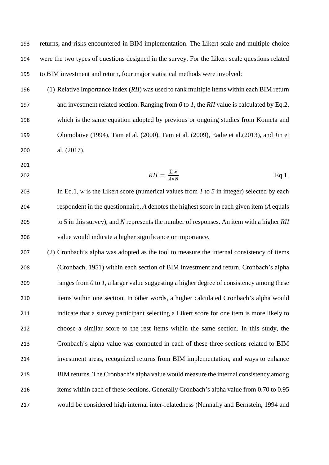returns, and risks encountered in BIM implementation. The Likert scale and multiple-choice were the two types of questions designed in the survey. For the Likert scale questions related to BIM investment and return, four major statistical methods were involved:

- (1) Relative Importance Index (*RII*) was used to rank multiple items within each BIM return and investment related section. Ranging from *0* to *1*, the *RII* value is calculated by Eq.2, which is the same equation adopted by previous or ongoing studies from Kometa and Olomolaive (1994), Tam et al. (2000), Tam et al. (2009), Eadie et al.(2013), and Jin et al. (2017).
- 
- 

$$
RII = \frac{\sum w}{A \times N} \qquad \qquad \text{Eq.1.}
$$

 In Eq.1, *w* is the Likert score (numerical values from *1* to *5* in integer) selected by each respondent in the questionnaire, *A* denotes the highest score in each given item (*A* equals to 5 in this survey), and *N* represents the number of responses. An item with a higher *RII* value would indicate a higher significance or importance.

 (2) Cronbach's alpha was adopted as the tool to measure the internal consistency of items (Cronbach, 1951) within each section of BIM investment and return. Cronbach's alpha ranges from *0* to *1*, a larger value suggesting a higher degree of consistency among these items within one section. In other words, a higher calculated Cronbach's alpha would indicate that a survey participant selecting a Likert score for one item is more likely to choose a similar score to the rest items within the same section. In this study, the Cronbach's alpha value was computed in each of these three sections related to BIM investment areas, recognized returns from BIM implementation, and ways to enhance BIM returns. The Cronbach's alpha value would measure the internal consistency among items within each of these sections. Generally Cronbach's alpha value from 0.70 to 0.95 would be considered high internal inter-relatedness (Nunnally and Bernstein, 1994 and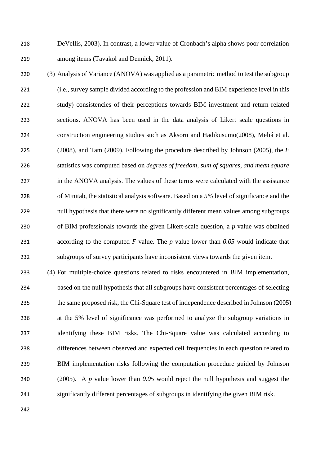DeVellis, 2003). In contrast, a lower value of Cronbach's alpha shows poor correlation among items (Tavakol and Dennick, 2011).

 (3) Analysis of Variance (ANOVA) was applied as a parametric method to test the subgroup (i.e., survey sample divided according to the profession and BIM experience level in this study) consistencies of their perceptions towards BIM investment and return related sections. ANOVA has been used in the data analysis of Likert scale questions in construction engineering studies such as Aksorn and Hadikusumo(2008), Meliá et al. (2008), and Tam (2009). Following the procedure described by Johnson (2005), the *F* statistics was computed based on *degrees of freedom, sum of squares, and mean square* in the ANOVA analysis. The values of these terms were calculated with the assistance of Minitab, the statistical analysis software. Based on a *5%* level of significance and the null hypothesis that there were no significantly different mean values among subgroups of BIM professionals towards the given Likert-scale question, a *p* value was obtained according to the computed *F* value. The *p* value lower than *0.05* would indicate that subgroups of survey participants have inconsistent views towards the given item.

 (4) For multiple-choice questions related to risks encountered in BIM implementation, based on the null hypothesis that all subgroups have consistent percentages of selecting the same proposed risk, the Chi-Square test of independence described in Johnson (2005) at the 5% level of significance was performed to analyze the subgroup variations in identifying these BIM risks. The Chi-Square value was calculated according to differences between observed and expected cell frequencies in each question related to BIM implementation risks following the computation procedure guided by Johnson (2005). A *p* value lower than *0.05* would reject the null hypothesis and suggest the significantly different percentages of subgroups in identifying the given BIM risk.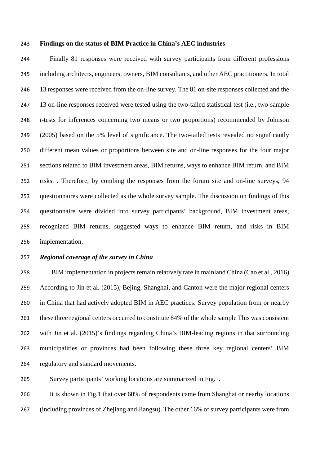#### **Findings on the status of BIM Practice in China's AEC industries**

 Finally 81 responses were received with survey participants from different professions including architects, engineers, owners, BIM consultants, and other AEC practitioners. In total 246 13 responses were received from the on-line survey. The 81 on-site responses collected and the 13 on-line responses received were tested using the two-tailed statistical test (i.e., two-sample *t*-tests for inferences concerning two means or two proportions) recommended by Johnson (2005) based on the 5% level of significance. The two-tailed tests revealed no significantly different mean values or proportions between site and on-line responses for the four major 251 sections related to BIM investment areas, BIM returns, ways to enhance BIM return, and BIM risks. . Therefore, by combing the responses from the forum site and on-line surveys, 94 questionnaires were collected as the whole survey sample. The discussion on findings of this questionnaire were divided into survey participants' background, BIM investment areas, recognized BIM returns, suggested ways to enhance BIM return, and risks in BIM implementation.

### *Regional coverage of the survey in China*

 BIM implementation in projects remain relatively rare in mainland China (Cao et al., 2016). According to Jin et al. (2015), Bejing, Shanghai, and Canton were the major regional centers in China that had actively adopted BIM in AEC practices. Survey population from or nearby these three regional centers occurred to constitute 84% of the whole sample This was consistent with Jin et al. (2015)'s findings regarding China's BIM-leading regions in that surrounding municipalities or provinces had been following these three key regional centers' BIM regulatory and standard movements.

Survey participants' working locations are summarized in Fig.1.

 It is shown in Fig.1 that over 60% of respondents came from Shanghai or nearby locations (including provinces of Zhejiang and Jiangsu). The other 16% of survey participants were from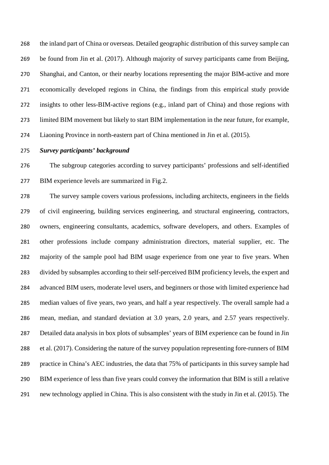the inland part of China or overseas. Detailed geographic distribution of this survey sample can be found from Jin et al. (2017). Although majority of survey participants came from Beijing, Shanghai, and Canton, or their nearby locations representing the major BIM-active and more economically developed regions in China, the findings from this empirical study provide insights to other less-BIM-active regions (e.g., inland part of China) and those regions with limited BIM movement but likely to start BIM implementation in the near future, for example, Liaoning Province in north-eastern part of China mentioned in Jin et al. (2015).

#### *Survey participants' background*

 The subgroup categories according to survey participants' professions and self-identified BIM experience levels are summarized in Fig.2.

 The survey sample covers various professions, including architects, engineers in the fields of civil engineering, building services engineering, and structural engineering, contractors, owners, engineering consultants, academics, software developers, and others. Examples of other professions include company administration directors, material supplier, etc. The majority of the sample pool had BIM usage experience from one year to five years. When divided by subsamples according to their self-perceived BIM proficiency levels, the expert and advanced BIM users, moderate level users, and beginners or those with limited experience had median values of five years, two years, and half a year respectively. The overall sample had a mean, median, and standard deviation at 3.0 years, 2.0 years, and 2.57 years respectively. Detailed data analysis in box plots of subsamples' years of BIM experience can be found in Jin et al. (2017). Considering the nature of the survey population representing fore-runners of BIM practice in China's AEC industries, the data that 75% of participants in this survey sample had BIM experience of less than five years could convey the information that BIM is still a relative new technology applied in China. This is also consistent with the study in Jin et al. (2015). The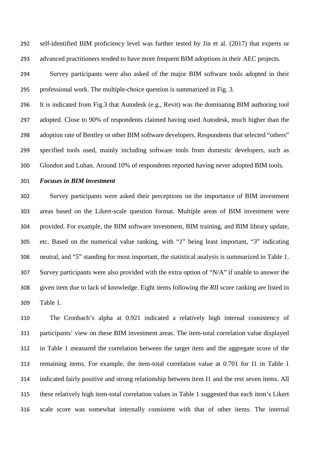self-identified BIM proficiency level was further tested by Jin et al. (2017) that experts or 293 advanced practitioners tended to have more frequent BIM adoptions in their AEC projects.

 Survey participants were also asked of the major BIM software tools adopted in their professional work. The multiple-choice question is summarized in Fig. 3.

 It is indicated from Fig.3 that Autodesk (e.g., Revit) was the dominating BIM authoring tool adopted. Close to 90% of respondents claimed having used Autodesk, much higher than the 298 adoption rate of Bentley or other BIM software developers. Respondents that selected "others" specified tools used, mainly including software tools from domestic developers, such as Glondon and Luban. Around 10% of respondents reported having never adopted BIM tools.

### *Focuses in BIM investment*

 Survey participants were asked their perceptions on the importance of BIM investment areas based on the Likert-scale question format. Multiple areas of BIM investment were provided. For example, the BIM software investment, BIM training, and BIM library update, etc. Based on the numerical value ranking, with "*1*" being least important, "*3*" indicating neutral, and "*5*" standing for most important, the statistical analysis is summarized in Table 1. Survey participants were also provided with the extra option of "N/A" if unable to answer the given item due to lack of knowledge. Eight items following the *RII* score ranking are listed in Table 1.

 The Cronbach's alpha at 0.921 indicated a relatively high internal consistency of participants' view on these BIM investment areas. The item-total correlation value displayed in Table 1 measured the correlation between the target item and the aggregate score of the remaining items. For example, the item-total correlation value at 0.701 for I1 in Table 1 indicated fairly positive and strong relationship between item I1 and the rest seven items. All these relatively high item-total correlation values in Table 1 suggested that each item's Likert scale score was somewhat internally consistent with that of other items. The internal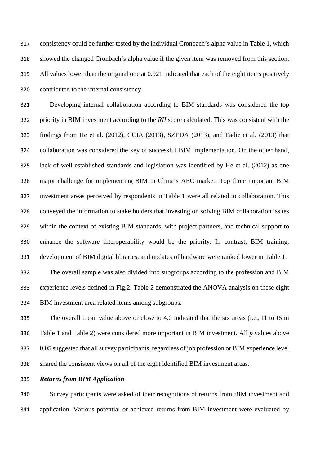consistency could be further tested by the individual Cronbach's alpha value in Table 1, which showed the changed Cronbach's alpha value if the given item was removed from this section. All values lower than the original one at 0.921 indicated that each of the eight items positively contributed to the internal consistency.

 Developing internal collaboration according to BIM standards was considered the top priority in BIM investment according to the *RII* score calculated. This was consistent with the findings from He et al. (2012), CCIA (2013), SZEDA (2013), and Eadie et al. (2013) that collaboration was considered the key of successful BIM implementation. On the other hand, lack of well-established standards and legislation was identified by He et al. (2012) as one major challenge for implementing BIM in China's AEC market. Top three important BIM investment areas perceived by respondents in Table 1 were all related to collaboration. This conveyed the information to stake holders that investing on solving BIM collaboration issues within the context of existing BIM standards, with project partners, and technical support to enhance the software interoperability would be the priority. In contrast, BIM training, development of BIM digital libraries, and updates of hardware were ranked lower in Table 1.

 The overall sample was also divided into subgroups according to the profession and BIM experience levels defined in Fig.2. Table 2 demonstrated the ANOVA analysis on these eight BIM investment area related items among subgroups.

 The overall mean value above or close to 4.0 indicated that the six areas (i.e., I1 to I6 in Table 1 and Table 2) were considered more important in BIM investment. All *p* values above 0.05 suggested that all survey participants, regardless of job profession or BIM experience level, shared the consistent views on all of the eight identified BIM investment areas.

## *Returns from BIM Application*

 Survey participants were asked of their recognitions of returns from BIM investment and application. Various potential or achieved returns from BIM investment were evaluated by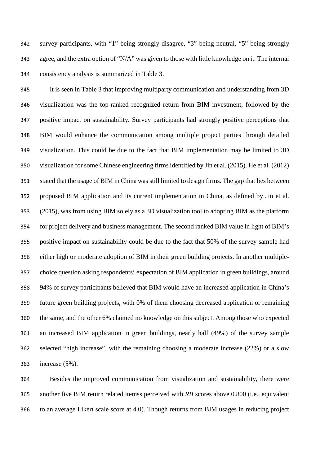survey participants, with "1" being strongly disagree, "3" being neutral, "5" being strongly agree, and the extra option of "N/A" was given to those with little knowledge on it. The internal consistency analysis is summarized in Table 3.

 It is seen in Table 3 that improving multiparty communication and understanding from 3D visualization was the top-ranked recognized return from BIM investment, followed by the positive impact on sustainability. Survey participants had strongly positive perceptions that BIM would enhance the communication among multiple project parties through detailed visualization. This could be due to the fact that BIM implementation may be limited to 3D visualization for some Chinese engineering firms identified by Jin et al. (2015). He et al. (2012) stated that the usage of BIM in China was still limited to design firms. The gap that lies between proposed BIM application and its current implementation in China, as defined by Jin et al. (2015), was from using BIM solely as a 3D visualization tool to adopting BIM as the platform for project delivery and business management. The second ranked BIM value in light of BIM's positive impact on sustainability could be due to the fact that 50% of the survey sample had either high or moderate adoption of BIM in their green building projects. In another multiple- choice question asking respondents' expectation of BIM application in green buildings, around 94% of survey participants believed that BIM would have an increased application in China's future green building projects, with 0% of them choosing decreased application or remaining the same, and the other 6% claimed no knowledge on this subject. Among those who expected an increased BIM application in green buildings, nearly half (49%) of the survey sample selected "high increase", with the remaining choosing a moderate increase (22%) or a slow increase (5%).

 Besides the improved communication from visualization and sustainability, there were another five BIM return related itemss perceived with *RII* scores above 0.800 (i.e., equivalent to an average Likert scale score at 4.0). Though returns from BIM usages in reducing project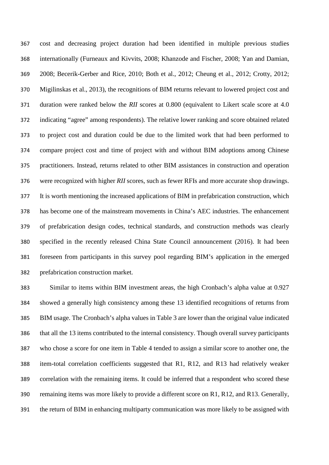cost and decreasing project duration had been identified in multiple previous studies internationally (Furneaux and Kivvits, 2008; Khanzode and Fischer, 2008; Yan and Damian, 2008; Becerik-Gerber and Rice, 2010; Both et al., 2012; Cheung et al., 2012; Crotty, 2012; Migilinskas et al., 2013), the recognitions of BIM returns relevant to lowered project cost and duration were ranked below the *RII* scores at 0.800 (equivalent to Likert scale score at 4.0 indicating "agree" among respondents). The relative lower ranking and score obtained related to project cost and duration could be due to the limited work that had been performed to compare project cost and time of project with and without BIM adoptions among Chinese practitioners. Instead, returns related to other BIM assistances in construction and operation were recognized with higher *RII* scores, such as fewer RFIs and more accurate shop drawings. It is worth mentioning the increased applications of BIM in prefabrication construction, which has become one of the mainstream movements in China's AEC industries. The enhancement of prefabrication design codes, technical standards, and construction methods was clearly specified in the recently released China State Council announcement (2016). It had been foreseen from participants in this survey pool regarding BIM's application in the emerged prefabrication construction market.

 Similar to items within BIM investment areas, the high Cronbach's alpha value at 0.927 showed a generally high consistency among these 13 identified recognitions of returns from BIM usage. The Cronbach's alpha values in Table 3 are lower than the original value indicated that all the 13 items contributed to the internal consistency. Though overall survey participants who chose a score for one item in Table 4 tended to assign a similar score to another one, the item-total correlation coefficients suggested that R1, R12, and R13 had relatively weaker correlation with the remaining items. It could be inferred that a respondent who scored these remaining items was more likely to provide a different score on R1, R12, and R13. Generally, the return of BIM in enhancing multiparty communication was more likely to be assigned with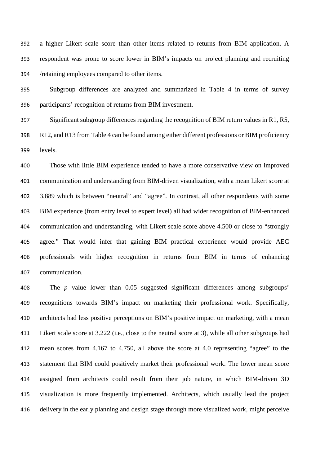a higher Likert scale score than other items related to returns from BIM application. A respondent was prone to score lower in BIM's impacts on project planning and recruiting /retaining employees compared to other items.

 Subgroup differences are analyzed and summarized in Table 4 in terms of survey participants' recognition of returns from BIM investment.

 Significant subgroup differences regarding the recognition of BIM return values in R1, R5, R12, and R13 from Table 4 can be found among either different professions or BIM proficiency levels.

 Those with little BIM experience tended to have a more conservative view on improved communication and understanding from BIM-driven visualization, with a mean Likert score at 3.889 which is between "neutral" and "agree". In contrast, all other respondents with some BIM experience (from entry level to expert level) all had wider recognition of BIM-enhanced communication and understanding, with Likert scale score above 4.500 or close to "strongly agree." That would infer that gaining BIM practical experience would provide AEC professionals with higher recognition in returns from BIM in terms of enhancing communication.

 The *p* value lower than 0.05 suggested significant differences among subgroups' recognitions towards BIM's impact on marketing their professional work. Specifically, architects had less positive perceptions on BIM's positive impact on marketing, with a mean Likert scale score at 3.222 (i.e., close to the neutral score at 3), while all other subgroups had mean scores from 4.167 to 4.750, all above the score at 4.0 representing "agree" to the statement that BIM could positively market their professional work. The lower mean score assigned from architects could result from their job nature, in which BIM-driven 3D visualization is more frequently implemented. Architects, which usually lead the project delivery in the early planning and design stage through more visualized work, might perceive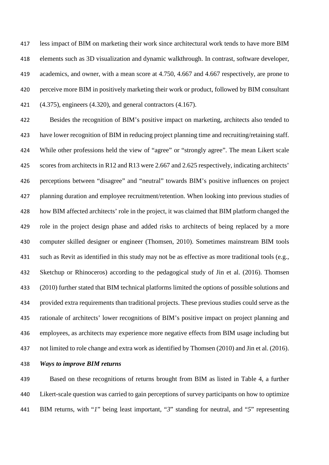less impact of BIM on marketing their work since architectural work tends to have more BIM elements such as 3D visualization and dynamic walkthrough. In contrast, software developer, academics, and owner, with a mean score at 4.750, 4.667 and 4.667 respectively, are prone to perceive more BIM in positively marketing their work or product, followed by BIM consultant (4.375), engineers (4.320), and general contractors (4.167).

 Besides the recognition of BIM's positive impact on marketing, architects also tended to have lower recognition of BIM in reducing project planning time and recruiting/retaining staff. While other professions held the view of "agree" or "strongly agree". The mean Likert scale scores from architects in R12 and R13 were 2.667 and 2.625 respectively, indicating architects' perceptions between "disagree" and "neutral" towards BIM's positive influences on project planning duration and employee recruitment/retention. When looking into previous studies of how BIM affected architects' role in the project, it was claimed that BIM platform changed the role in the project design phase and added risks to architects of being replaced by a more computer skilled designer or engineer (Thomsen, 2010). Sometimes mainstream BIM tools such as Revit as identified in this study may not be as effective as more traditional tools (e.g., Sketchup or Rhinoceros) according to the pedagogical study of Jin et al. (2016). Thomsen (2010) further stated that BIM technical platforms limited the options of possible solutions and provided extra requirements than traditional projects. These previous studies could serve as the rationale of architects' lower recognitions of BIM's positive impact on project planning and employees, as architects may experience more negative effects from BIM usage including but not limited to role change and extra work as identified by Thomsen (2010) and Jin et al. (2016).

*Ways to improve BIM returns* 

 Based on these recognitions of returns brought from BIM as listed in Table 4, a further Likert-scale question was carried to gain perceptions of survey participants on how to optimize BIM returns, with "*1*" being least important, "*3*" standing for neutral, and "*5*" representing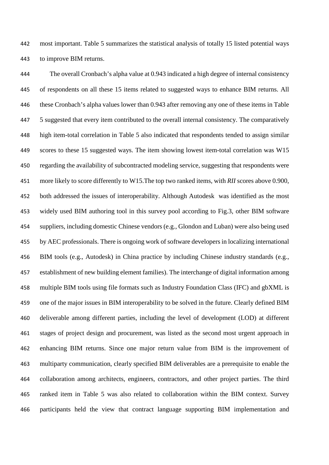most important. Table 5 summarizes the statistical analysis of totally 15 listed potential ways to improve BIM returns.

 The overall Cronbach's alpha value at 0.943 indicated a high degree of internal consistency of respondents on all these 15 items related to suggested ways to enhance BIM returns. All these Cronbach's alpha values lower than 0.943 after removing any one of these items in Table 5 suggested that every item contributed to the overall internal consistency. The comparatively high item-total correlation in Table 5 also indicated that respondents tended to assign similar scores to these 15 suggested ways. The item showing lowest item-total correlation was W15 regarding the availability of subcontracted modeling service, suggesting that respondents were more likely to score differently to W15.The top two ranked items, with *RII* scores above 0.900, both addressed the issues of interoperability. Although Autodesk was identified as the most widely used BIM authoring tool in this survey pool according to Fig.3, other BIM software suppliers, including domestic Chinese vendors (e.g., Glondon and Luban) were also being used by AEC professionals. There is ongoing work of software developers in localizing international BIM tools (e.g., Autodesk) in China practice by including Chinese industry standards (e.g., establishment of new building element families). The interchange of digital information among multiple BIM tools using file formats such as Industry Foundation Class (IFC) and gbXML is one of the major issues in BIM interoperability to be solved in the future. Clearly defined BIM deliverable among different parties, including the level of development (LOD) at different stages of project design and procurement, was listed as the second most urgent approach in enhancing BIM returns. Since one major return value from BIM is the improvement of multiparty communication, clearly specified BIM deliverables are a prerequisite to enable the collaboration among architects, engineers, contractors, and other project parties. The third ranked item in Table 5 was also related to collaboration within the BIM context. Survey participants held the view that contract language supporting BIM implementation and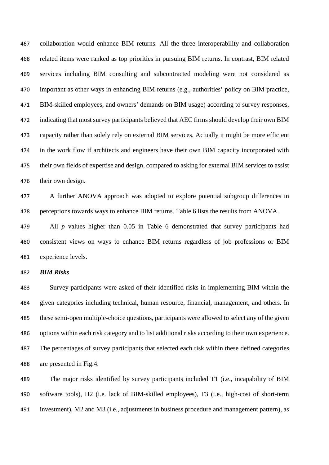collaboration would enhance BIM returns. All the three interoperability and collaboration related items were ranked as top priorities in pursuing BIM returns. In contrast, BIM related services including BIM consulting and subcontracted modeling were not considered as important as other ways in enhancing BIM returns (e.g., authorities' policy on BIM practice, BIM-skilled employees, and owners' demands on BIM usage) according to survey responses, indicating that most survey participants believed that AEC firms should develop their own BIM capacity rather than solely rely on external BIM services. Actually it might be more efficient in the work flow if architects and engineers have their own BIM capacity incorporated with their own fields of expertise and design, compared to asking for external BIM services to assist their own design.

 A further ANOVA approach was adopted to explore potential subgroup differences in perceptions towards ways to enhance BIM returns. Table 6 lists the results from ANOVA.

 All *p* values higher than 0.05 in Table 6 demonstrated that survey participants had consistent views on ways to enhance BIM returns regardless of job professions or BIM experience levels.

*BIM Risks* 

 Survey participants were asked of their identified risks in implementing BIM within the given categories including technical, human resource, financial, management, and others. In these semi-open multiple-choice questions, participants were allowed to select any of the given options within each risk category and to list additional risks according to their own experience. The percentages of survey participants that selected each risk within these defined categories are presented in Fig.4.

 The major risks identified by survey participants included T1 (i.e., incapability of BIM software tools), H2 (i.e. lack of BIM-skilled employees), F3 (i.e., high-cost of short-term investment), M2 and M3 (i.e., adjustments in business procedure and management pattern), as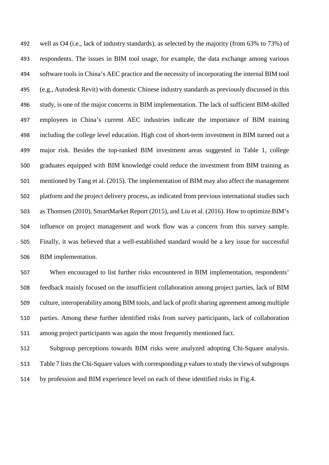well as O4 (i.e., lack of industry standards), as selected by the majority (from 63% to 73%) of respondents. The issues in BIM tool usage, for example, the data exchange among various software tools in China's AEC practice and the necessity of incorporating the internal BIM tool (e.g., Autodesk Revit) with domestic Chinese industry standards as previously discussed in this study, is one of the major concerns in BIM implementation. The lack of sufficient BIM-skilled employees in China's current AEC industries indicate the importance of BIM training including the college level education. High cost of short-term investment in BIM turned out a major risk. Besides the top-ranked BIM investment areas suggested in Table 1, college graduates equipped with BIM knowledge could reduce the investment from BIM training as mentioned by Tang et al. (2015). The implementation of BIM may also affect the management platform and the project delivery process, as indicated from previous international studies such as Thomsen (2010), SmartMarket Report (2015), and Liu et al. (2016). How to optimize BIM's influence on project management and work flow was a concern from this survey sample. Finally, it was believed that a well-established standard would be a key issue for successful BIM implementation.

 When encouraged to list further risks encountered in BIM implementation, respondents' feedback mainly focused on the insufficient collaboration among project parties, lack of BIM culture, interoperability among BIM tools, and lack of profit sharing agreement among multiple parties. Among these further identified risks from survey participants, lack of collaboration among project participants was again the most frequently mentioned fact.

 Subgroup perceptions towards BIM risks were analyzed adopting Chi-Square analysis. Table 7 lists the Chi-Square values with corresponding *p* values to study the views of subgroups by profession and BIM experience level on each of these identified risks in Fig.4.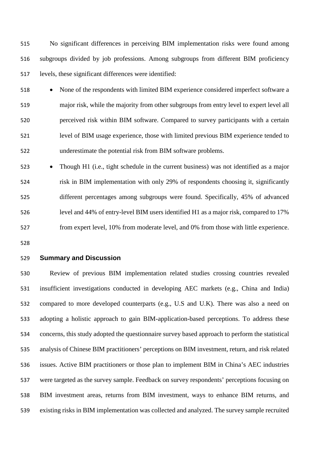No significant differences in perceiving BIM implementation risks were found among subgroups divided by job professions. Among subgroups from different BIM proficiency levels, these significant differences were identified:

- None of the respondents with limited BIM experience considered imperfect software a major risk, while the majority from other subgroups from entry level to expert level all perceived risk within BIM software. Compared to survey participants with a certain level of BIM usage experience, those with limited previous BIM experience tended to underestimate the potential risk from BIM software problems.
- Though H1 (i.e., tight schedule in the current business) was not identified as a major risk in BIM implementation with only 29% of respondents choosing it, significantly different percentages among subgroups were found. Specifically, 45% of advanced level and 44% of entry-level BIM users identified H1 as a major risk, compared to 17% from expert level, 10% from moderate level, and 0% from those with little experience.

## **Summary and Discussion**

 Review of previous BIM implementation related studies crossing countries revealed insufficient investigations conducted in developing AEC markets (e.g., China and India) compared to more developed counterparts (e.g., U.S and U.K). There was also a need on adopting a holistic approach to gain BIM-application-based perceptions. To address these concerns, this study adopted the questionnaire survey based approach to perform the statistical analysis of Chinese BIM practitioners' perceptions on BIM investment, return, and risk related issues. Active BIM practitioners or those plan to implement BIM in China's AEC industries were targeted as the survey sample. Feedback on survey respondents' perceptions focusing on BIM investment areas, returns from BIM investment, ways to enhance BIM returns, and existing risks in BIM implementation was collected and analyzed. The survey sample recruited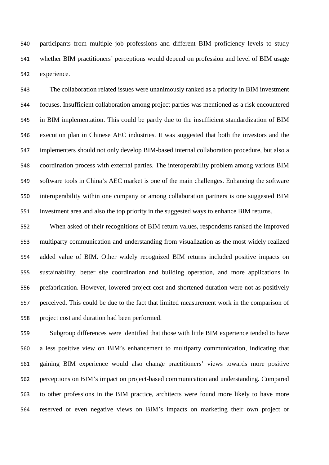participants from multiple job professions and different BIM proficiency levels to study whether BIM practitioners' perceptions would depend on profession and level of BIM usage experience.

 The collaboration related issues were unanimously ranked as a priority in BIM investment focuses. Insufficient collaboration among project parties was mentioned as a risk encountered in BIM implementation. This could be partly due to the insufficient standardization of BIM execution plan in Chinese AEC industries. It was suggested that both the investors and the implementers should not only develop BIM-based internal collaboration procedure, but also a coordination process with external parties. The interoperability problem among various BIM software tools in China's AEC market is one of the main challenges. Enhancing the software interoperability within one company or among collaboration partners is one suggested BIM investment area and also the top priority in the suggested ways to enhance BIM returns.

 When asked of their recognitions of BIM return values, respondents ranked the improved multiparty communication and understanding from visualization as the most widely realized added value of BIM. Other widely recognized BIM returns included positive impacts on sustainability, better site coordination and building operation, and more applications in prefabrication. However, lowered project cost and shortened duration were not as positively perceived. This could be due to the fact that limited measurement work in the comparison of project cost and duration had been performed.

 Subgroup differences were identified that those with little BIM experience tended to have a less positive view on BIM's enhancement to multiparty communication, indicating that gaining BIM experience would also change practitioners' views towards more positive perceptions on BIM's impact on project-based communication and understanding. Compared to other professions in the BIM practice, architects were found more likely to have more reserved or even negative views on BIM's impacts on marketing their own project or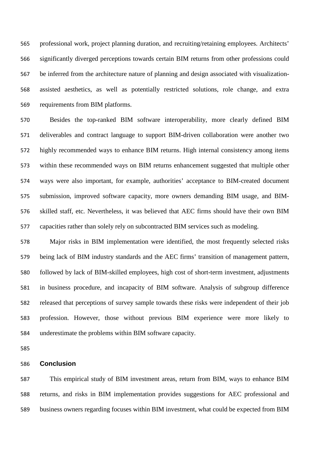professional work, project planning duration, and recruiting/retaining employees. Architects' significantly diverged perceptions towards certain BIM returns from other professions could be inferred from the architecture nature of planning and design associated with visualization- assisted aesthetics, as well as potentially restricted solutions, role change, and extra requirements from BIM platforms.

 Besides the top-ranked BIM software interoperability, more clearly defined BIM deliverables and contract language to support BIM-driven collaboration were another two highly recommended ways to enhance BIM returns. High internal consistency among items within these recommended ways on BIM returns enhancement suggested that multiple other ways were also important, for example, authorities' acceptance to BIM-created document submission, improved software capacity, more owners demanding BIM usage, and BIM- skilled staff, etc. Nevertheless, it was believed that AEC firms should have their own BIM capacities rather than solely rely on subcontracted BIM services such as modeling.

 Major risks in BIM implementation were identified, the most frequently selected risks being lack of BIM industry standards and the AEC firms' transition of management pattern, followed by lack of BIM-skilled employees, high cost of short-term investment, adjustments in business procedure, and incapacity of BIM software. Analysis of subgroup difference released that perceptions of survey sample towards these risks were independent of their job profession. However, those without previous BIM experience were more likely to underestimate the problems within BIM software capacity.

#### **Conclusion**

 This empirical study of BIM investment areas, return from BIM, ways to enhance BIM returns, and risks in BIM implementation provides suggestions for AEC professional and business owners regarding focuses within BIM investment, what could be expected from BIM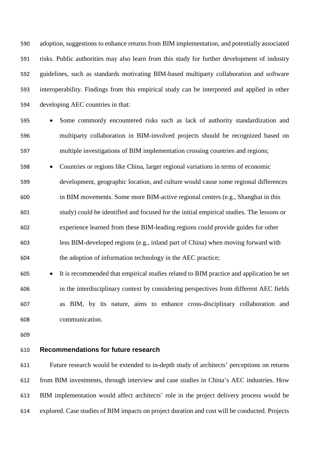adoption, suggestions to enhance returns from BIM implementation, and potentially associated risks. Public authorities may also learn from this study for further development of industry guidelines, such as standards motivating BIM-based multiparty collaboration and software interoperability. Findings from this empirical study can be interpreted and applied in other developing AEC countries in that:

 • Some commonly encountered risks such as lack of authority standardization and multiparty collaboration in BIM-involved projects should be recognized based on multiple investigations of BIM implementation crossing countries and regions;

 • Countries or regions like China, larger regional variations in terms of economic development, geographic location, and culture would cause some regional differences

 in BIM movements. Some more BIM-active regional centers (e.g., Shanghai in this study) could be identified and focused for the initial empirical studies. The lessons or experience learned from these BIM-leading regions could provide guides for other less BIM-developed regions (e.g., inland part of China) when moving forward with the adoption of information technology in the AEC practice;

 • It is recommended that empirical studies related to BIM practice and application be set in the interdisciplinary context by considering perspectives from different AEC fields as BIM, by its nature, aims to enhance cross-disciplinary collaboration and communication.

## **Recommendations for future research**

 Future research would be extended to in-depth study of architects' perceptions on returns from BIM investments, through interview and case studies in China's AEC industries. How BIM implementation would affect architects' role in the project delivery process would be explored. Case studies of BIM impacts on project duration and cost will be conducted. Projects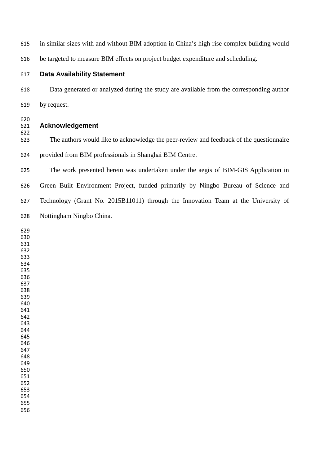in similar sizes with and without BIM adoption in China's high-rise complex building would

be targeted to measure BIM effects on project budget expenditure and scheduling.

## **Data Availability Statement**

 Data generated or analyzed during the study are available from the corresponding author by request.

#### **Acknowledgement**

 The authors would like to acknowledge the peer-review and feedback of the questionnaire provided from BIM professionals in Shanghai BIM Centre.

 The work presented herein was undertaken under the aegis of BIM-GIS Application in Green Built Environment Project, funded primarily by Ningbo Bureau of Science and Technology (Grant No. 2015B11011) through the Innovation Team at the University of Nottingham Ningbo China.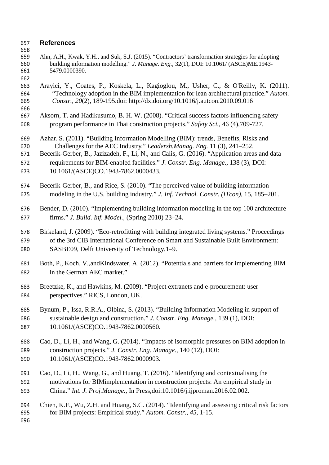# **References**

- Ahn, A.H., Kwak, Y.H., and Suk, S.J. (2015). "Contractors' transformation strategies for adopting building information modelling." *J. Manage. Eng.,* 32(1), DOI: 10.1061/ (ASCE)ME.1943- 5479.0000390.
- 
- Arayici, Y., Coates, P., Koskela, L., Kagioglou, M., Usher, C., & O'Reilly, K. (2011). "Technology adoption in the BIM implementation for lean architectural practice." *Autom. Constr., 20*(2), 189-195.doi: http://dx.doi.org/10.1016/j.autcon.2010.09.016
- 
- Aksorn, T. and Hadikusumo, B. H. W. (2008). "Critical success factors influencing safety program performance in Thai construction projects." *Safety Sci.,* 46 (4),709-727.
- Azhar. S. (2011). "Building Information Modelling (BIM): trends, Benefits, Risks and Challenges for the AEC Industry." *Leadersh.Manag. Eng.* 11 (3), 241–252.
- Becerik-Gerber, B., Jazizadeh, F., Li, N., and Calis, G. (2016). "Application areas and data
- requirements for BIM-enabled facilities." *J. Constr. Eng. Manage.,* 138 (3), DOI: 10.1061/(ASCE)CO.1943-7862.0000433.
- Becerik-Gerber, B., and Rice, S. (2010). "The perceived value of building information modeling in the U.S. building industry." *J. Inf. Technol. Constr. (ITcon)*, 15, 185–201.
- Bender, D. (2010). "Implementing building information modeling in the top 100 architecture firms." *J. Build. Inf. Model.,* (Spring 2010) 23–24.
- Birkeland, J. (2009). "Eco-retrofitting with building integrated living systems." Proceedings of the 3rd CIB International Conference on Smart and Sustainable Built Environment: SASBE09, Delft University of Technology,1–9.
- Both, P., Koch, V.,andKindsvater, A. (2012). "Potentials and barriers for implementing BIM in the German AEC market."
- Breetzke, K., and Hawkins, M. (2009). "Project extranets and e-procurement: user perspectives." RICS, London, UK.
- Bynum, P., Issa, R.R.A., Olbina, S. (2013). "Building Information Modeling in support of sustainable design and construction." *J. Constr. Eng. Manage.,* 139 (1), DOI: 10.1061/(ASCE)CO.1943-7862.0000560.
- Cao, D., Li, H., and Wang, G. (2014). "Impacts of isomorphic pressures on BIM adoption in construction projects." *J. Constr. Eng. Manage.*, 140 (12), DOI: 10.1061/(ASCE)CO.1943-7862.0000903.
- Cao, D., Li, H., Wang, G., and Huang, T. (2016). "Identifying and contextualising the motivations for BIMimplementation in construction projects: An empirical study in China." *Int. J. Proj.Manage.,* In Press,doi:10.1016/j.ijproman.2016.02.002.
- Chien, K.F., Wu, Z.H. and Huang, S.C. (2014). "Identifying and assessing critical risk factors for BIM projects: Empirical study." *Autom. Constr.*, *45*, 1-15.
-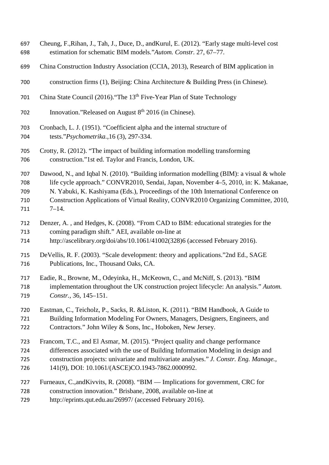- Cheung, F.,Rihan, J., Tah, J., Duce, D., andKurul, E. (2012). "Early stage multi-level cost estimation for schematic BIM models."*Autom. Constr.* 27, 67–77.
- China Construction Industry Association (CCIA, 2013), Research of BIM application in
- construction firms (1), Beijing: China Architecture & Building Press (in Chinese).
- 701 China State Council (2016). "The 13<sup>th</sup> Five-Year Plan of State Technology
- 702 Innovation."Released on August  $8<sup>th</sup>$  2016 (in Chinese).
- Cronbach, L. J. (1951). "Coefficient alpha and the internal structure of tests."*Psychometrika.,*16 (3), 297-334.
- Crotty, R. (2012). "The impact of building information modelling transforming construction."1st ed. Taylor and Francis, London, UK.

 Dawood, N., and Iqbal N. (2010). "Building information modelling (BIM): a visual & whole life cycle approach." CONVR2010, Sendai, Japan, November 4–5, 2010, in: K. Makanae, N. Yabuki, K. Kashiyama (Eds.), Proceedings of the 10th International Conference on Construction Applications of Virtual Reality, CONVR2010 Organizing Committee, 2010, 7–14.

- Denzer, A. , and Hedges, K. (2008). "From CAD to BIM: educational strategies for the coming paradigm shift." AEI, available on-line at
- http://ascelibrary.org/doi/abs/10.1061/41002(328)6 (accessed February 2016).
- DeVellis, R. F. (2003). "Scale development: theory and applications."2nd Ed., SAGE Publications, Inc., Thousand Oaks, CA.
- Eadie, R., Browne, M., Odeyinka, H., McKeown, C., and McNiff, S. (2013). "BIM implementation throughout the UK construction project lifecycle: An analysis." *Autom. Constr.,* 36, 145–151.
- Eastman, C., Teicholz, P., Sacks, R. &Liston, K. (2011). "BIM Handbook, A Guide to Building Information Modeling For Owners, Managers, Designers, Engineers, and Contractors." John Wiley & Sons, Inc., Hoboken, New Jersey.
- Francom, T.C., and El Asmar, M. (2015). "Project quality and change performance differences associated with the use of Building Information Modeling in design and construction projects: univariate and multivariate analyses." *J. Constr. Eng. Manage.,* 141(9), DOI: 10.1061/(ASCE)CO.1943-7862.0000992.
- Furneaux, C.,andKivvits, R. (2008). "BIM Implications for government, CRC for construction innovation." Brisbane, 2008, available on-line at
- http://eprints.qut.edu.au/26997/ (accessed February 2016).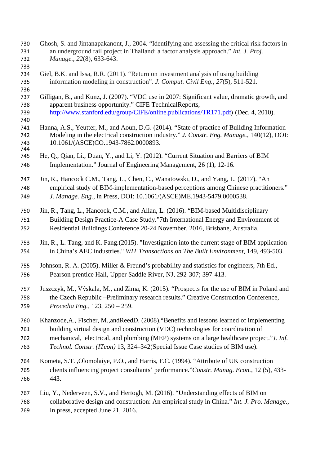| 730<br>731<br>732<br>733 | Ghosh, S. and Jintanapakanont, J., 2004. "Identifying and assessing the critical risk factors in<br>an underground rail project in Thailand: a factor analysis approach." Int. J. Proj.<br>Manage., 22(8), 633-643.                         |
|--------------------------|---------------------------------------------------------------------------------------------------------------------------------------------------------------------------------------------------------------------------------------------|
| 734<br>735<br>736        | Giel, B.K. and Issa, R.R. (2011). "Return on investment analysis of using building<br>information modeling in construction". J. Comput. Civil Eng., 27(5), 511-521.                                                                         |
| 737<br>738<br>739<br>740 | Gilligan, B., and Kunz, J. (2007). "VDC use in 2007: Significant value, dramatic growth, and<br>apparent business opportunity." CIFE TechnicalReports,<br>http://www.stanford.edu/group/CIFE/online.publications/TR171.pdf) (Dec. 4, 2010). |
| 741<br>742<br>743<br>744 | Hanna, A.S., Yeutter, M., and Aoun, D.G. (2014). "State of practice of Building Information<br>Modeling in the electrical construction industry." J. Constr. Eng. Manage., 140(12), DOI:<br>10.1061/(ASCE)CO.1943-7862.0000893.             |
| 745                      | He, Q., Qian, Li., Duan, Y., and Li, Y. (2012). "Current Situation and Barriers of BIM                                                                                                                                                      |
| 746                      | Implementation." Journal of Engineering Management, 26 (1), 12-16.                                                                                                                                                                          |
| 747                      | Jin, R., Hancock C.M., Tang, L., Chen, C., Wanatowski, D., and Yang, L. (2017). "An                                                                                                                                                         |
| 748                      | empirical study of BIM-implementation-based perceptions among Chinese practitioners."                                                                                                                                                       |
| 749                      | J. Manage. Eng., in Press, DOI: 10.1061/(ASCE)ME.1943-5479.0000538.                                                                                                                                                                         |
| 750                      | Jin, R., Tang, L., Hancock, C.M., and Allan, L. (2016). "BIM-based Multidisciplinary                                                                                                                                                        |
| 751                      | Building Design Practice-A Case Study."7th International Energy and Environment of                                                                                                                                                          |
| 752                      | Residential Buildings Conference.20-24 November, 2016, Brisbane, Australia.                                                                                                                                                                 |
| 753                      | Jin, R., L. Tang, and K. Fang. (2015). "Investigation into the current stage of BIM application                                                                                                                                             |
| 754                      | in China's AEC industries." WIT Transactions on The Built Environment, 149, 493-503.                                                                                                                                                        |
| 755                      | Johnson, R. A. (2005). Miller & Freund's probability and statistics for engineers, 7th Ed.,                                                                                                                                                 |
| 756                      | Pearson prentice Hall, Upper Saddle River, NJ, 292-307; 397-413.                                                                                                                                                                            |
| 757                      | Juszczyk, M., Výskala, M., and Zima, K. (2015). "Prospects for the use of BIM in Poland and                                                                                                                                                 |
| 758                      | the Czech Republic -Preliminary research results." Creative Construction Conference,                                                                                                                                                        |
| 759                      | Procedia Eng., 123, 250 - 259.                                                                                                                                                                                                              |
| 760                      | Khanzode, A., Fischer, M., and Reed D. (2008). "Benefits and lessons learned of implementing                                                                                                                                                |
| 761                      | building virtual design and construction (VDC) technologies for coordination of                                                                                                                                                             |
| 762                      | mechanical, electrical, and plumbing (MEP) systems on a large healthcare project." <i>J. Inf.</i>                                                                                                                                           |
| 763                      | Technol. Constr. (ITcon) 13, 324–342(Special Issue Case studies of BIM use).                                                                                                                                                                |
| 764                      | Kometa, S.T., Olomolaiye, P.O., and Harris, F.C. (1994). "Attribute of UK construction                                                                                                                                                      |
| 765                      | clients influencing project consultants' performance."Constr. Manag. Econ., 12 (5), 433-                                                                                                                                                    |
| 766                      | 443.                                                                                                                                                                                                                                        |
| 767                      | Liu, Y., Nederveen, S.V., and Hertogh, M. (2016). "Understanding effects of BIM on                                                                                                                                                          |
| 768                      | collaborative design and construction: An empirical study in China." Int. J. Pro. Manage.,                                                                                                                                                  |
| 769                      | In press, accepted June 21, 2016.                                                                                                                                                                                                           |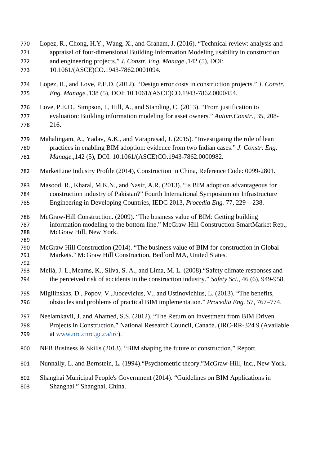Lopez, R., Chong, H.Y., Wang, X., and Graham, J. (2016). "Technical review: analysis and appraisal of four-dimensional Building Information Modeling usability in construction and engineering projects." *J. Constr. Eng. Manage*.,142 (5), DOI: 10.1061/(ASCE)CO.1943-7862.0001094. Lopez, R., and Love, P.E.D. (2012). "Design error costs in construction projects." *J. Constr. Eng. Manage.,*138 (5), DOI: 10.1061/(ASCE)CO.1943-7862.0000454. Love, P.E.D., Simpson, I., Hill, A., and Standing, C. (2013). "From justification to evaluation: Building information modeling for asset owners." *Autom.Constr.*, 35, 208- 216. Mahalingam, A., Yadav, A.K., and Varaprasad, J. (2015). "Investigating the role of lean practices in enabling BIM adoption: evidence from two Indian cases." *J. Constr. Eng. Manage.*,142 (5), DOI: 10.1061/(ASCE)CO.1943-7862.0000982. MarketLine Industry Profile (2014), Construction in China, Reference Code: 0099-2801. Masood, R., Kharal, M.K.N., and Nasir, A.R. (2013). "Is BIM adoption advantageous for construction industry of Pakistan?" Fourth International Symposium on Infrastructure Engineering in Developing Countries, IEDC 2013, *Procedia Eng.* 77, 229 – 238. McGraw-Hill Construction. (2009). "The business value of BIM: Getting building information modeling to the bottom line." McGraw-Hill Construction SmartMarket Rep., McGraw Hill, New York. McGraw Hill Construction (2014). "The business value of BIM for construction in Global Markets." McGraw Hill Construction, Bedford MA, United States. Meliá, J. L.,Mearns, K., Silva, S. A., and Lima, M. L. (2008)."Safety climate responses and the perceived risk of accidents in the construction industry." *Safety Sci.,* 46 (6), 949-958. Migilinskas, D., Popov, V.,Juocevicius, V., and Ustinovichius, L. (2013). "The benefits, obstacles and problems of practical BIM implementation." *Procedia Eng.* 57, 767–774. Neelamkavil, J. and Ahamed, S.S. (2012). "The Return on Investment from BIM Driven Projects in Construction." National Research Council, Canada. (IRC-RR-324 9 (Available 799 at [www.nrc.cnrc.gc.ca/irc\)](http://www.nrc.cnrc.gc.ca/irc). NFB Business & Skills (2013). "BIM shaping the future of construction." Report. Nunnally, L. and Bernstein, L. (1994)."Psychometric theory."McGraw-Hill, Inc., New York. Shanghai Municipal People's Government (2014). "Guidelines on BIM Applications in Shanghai." Shanghai, China.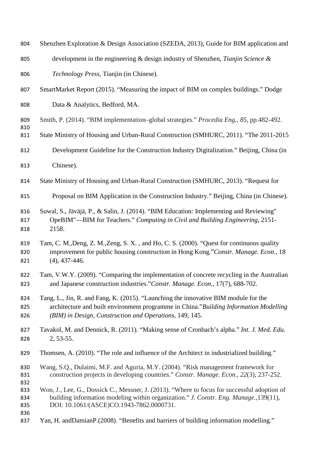| 804               | Shenzhen Exploration & Design Association (SZEDA, 2013), Guide for BIM application and                                                                                                                                                  |
|-------------------|-----------------------------------------------------------------------------------------------------------------------------------------------------------------------------------------------------------------------------------------|
| 805               | development in the engineering $\&$ design industry of Shenzhen, Tianjin Science $\&$                                                                                                                                                   |
| 806               | Technology Press, Tianjin (in Chinese).                                                                                                                                                                                                 |
| 807               | SmartMarket Report (2015). "Measuring the impact of BIM on complex buildings." Dodge                                                                                                                                                    |
| 808               | Data & Analytics, Bedford, MA.                                                                                                                                                                                                          |
| 809<br>810        | Smith, P. (2014). "BIM implementation-global strategies." Procedia Eng., 85, pp.482-492.                                                                                                                                                |
| 811               | State Ministry of Housing and Urban-Rural Construction (SMHURC, 2011). "The 2011-2015                                                                                                                                                   |
| 812               | Development Guideline for the Construction Industry Digitalization." Beijing, China (in                                                                                                                                                 |
| 813               | Chinese).                                                                                                                                                                                                                               |
| 814               | State Ministry of Housing and Urban-Rural Construction (SMHURC, 2013). "Request for                                                                                                                                                     |
| 815               | Proposal on BIM Application in the Construction Industry." Beijing, China (in Chinese).                                                                                                                                                 |
| 816<br>817<br>818 | Suwal, S., Jäväjä, P., & Salin, J. (2014). "BIM Education: Implementing and Reviewing"<br>OpeBIM"—BIM for Teachers." Computing in Civil and Building Engineering, 2151-<br>2158.                                                        |
| 819<br>820<br>821 | Tam, C. M., Deng, Z. M., Zeng, S. X., and Ho, C. S. (2000). "Quest for continuous quality<br>improvement for public housing construction in Hong Kong."Constr. Manage. Econ., 18<br>$(4)$ , 437-446.                                    |
| 822<br>823        | Tam, V.W.Y. (2009). "Comparing the implementation of concrete recycling in the Australian<br>and Japanese construction industries."Constr. Manage. Econ., 17(7), 688-702.                                                               |
| 824<br>825<br>826 | Tang, L., Jin, R. and Fang, K. (2015). "Launching the innovative BIM module for the<br>architecture and built environment programme in China."Building Information Modelling<br>(BIM) in Design, Construction and Operations, 149, 145. |
| 827<br>828        | Tavakol, M. and Dennick, R. (2011). "Making sense of Cronbach's alpha." Int. J. Med. Edu.<br>2, 53-55.                                                                                                                                  |
| 829               | Thomsen, A. (2010). "The role and influence of the Architect in industrialized building."                                                                                                                                               |
| 830<br>831<br>832 | Wang, S.Q., Dulaimi, M.F. and Aguria, M.Y. (2004). "Risk management framework for<br>construction projects in developing countries." Constr. Manage. Econ., 22(3), 237-252.                                                             |
| 833<br>834<br>835 | Won, J., Lee, G., Dossick C., Messner, J. (2013). "Where to focus for successful adoption of<br>building information modeling within organization." J. Constr. Eng. Manage., 139(11),<br>DOI: 10.1061/(ASCE)CO.1943-7862.0000731.       |
| 836<br>837        | Yan, H. and Damian P. (2008). "Benefits and barriers of building information modelling."                                                                                                                                                |
|                   |                                                                                                                                                                                                                                         |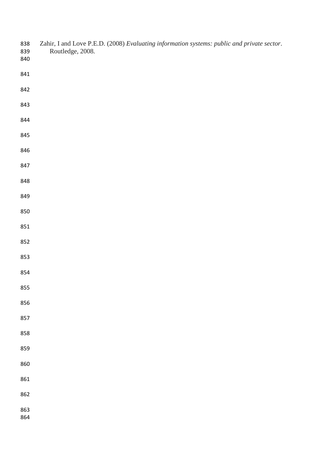| 838<br>839<br>840 | Zahir, I and Love P.E.D. (2008) Evaluating information systems: public and private sector.<br>Routledge, 2008. |
|-------------------|----------------------------------------------------------------------------------------------------------------|
| 841               |                                                                                                                |
| 842               |                                                                                                                |
| 843               |                                                                                                                |
| 844               |                                                                                                                |
| 845               |                                                                                                                |
| 846               |                                                                                                                |
| 847               |                                                                                                                |
| 848               |                                                                                                                |
| 849               |                                                                                                                |
| 850               |                                                                                                                |
| 851               |                                                                                                                |
| 852               |                                                                                                                |
| 853               |                                                                                                                |
| 854               |                                                                                                                |
| 855               |                                                                                                                |
| 856               |                                                                                                                |
| 857               |                                                                                                                |
| 858               |                                                                                                                |
| 859               |                                                                                                                |
| 860               |                                                                                                                |
| 861               |                                                                                                                |
| 862               |                                                                                                                |
| 863<br>864        |                                                                                                                |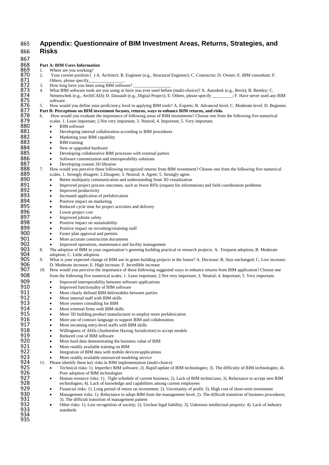## 865 **Appendix: Questionnaire of BIM Investment Areas, Returns, Strategies, and**  866 **Risks**

867<br>868<br>869 868 **Part A: BIM Users Information** 869 1. Where are you working?<br>870 2. Your current position (<br>871 0thers, please specify<br>872 3. How long have you been<br>873 4. What BIM software tools<br>874 Nemetschek (e.g., Archit<br>875 5. How would you define y<br>877 Part B: Pe 870 2. Your current position ( ) A. Architect; B. Engineer (e.g., Structural Engineer); C. Contractor; D. Owner; E. BIM consultant; F. Others, please specify<br>3 How long have you be How long have you been using BIM software? 873 4. What BIM software tools are you using or have you ever used before (multi-choice)? A. Autodesk (e.g., Revit); B. Bentley; C.<br>Nemetschek (e.g., ArchiCAD); D. Dassault (e.g., Digital Project); E. Others, please specif Nemetschek (e.g., ArchiCAD); D. Dassault (e.g., Digital Project); E. Others, please specify software. 876 5. How would you define your proficiency level in applying BIM tools? A. Experts; B. Advanced level; C. Moderate level; D. Beginner. 877 **Part B: Perceptions on BIM investment focuses, returns, ways to enhance BIM returns, and risks 878** 6. How would you evaluate the importance of following areas of BIM investments? Choose one from scales. 1. Least impo 878 6. How would you evaluate the importance of following areas of BIM investments? Choose one from the following five numerical 879 scales. 1. Least important; 2. Not very important; 3. Neutral; 4. Important; 5. Very important.<br>880 • BIM software 880 • BIM software<br>881 • Developing in 881 • Developing internal collaboration according to BIM procedures<br>882 • Marketing your BIM capability 882 • Marketing your BIM capability<br>883 • BIM training 883 • BIM training<br>884 • New or upgra 884 • New or upgraded hardware<br>885 • Developing collaborative B 885 • Developing collaborative BIM processes with external parties 886 • Software customization and interoperability solutions 886 • Software customization and interoperability solutions<br>887 • Developing custom 3D libraries 887 • Developing custom 3D libraries<br>888 7. How would you perceive these follow 888 7. How would you perceive these following recognized returns from BIM investment? Choose one from the following five numerical 889 scales. 1. Strongly disagree; 2. Disagree; 3. Neutral; 4. Agree; 5. Strongly agree. 889 scales. 1. Strongly disagree; 2. Disagree; 3. Neutral; 4. Agree; 5. Strongly agree.<br>890 • Better multiparty communication and understanding from 3D visualization 890 • Better multiparty communication and understanding from 3D visualization<br>891 • Improved project process outcomes, such as fewer RFIs (request for inform 891 • Improved project process outcomes, such as fewer RFIs (request for information) and field coordination problems<br>892 • Improved productivity 892 • Improved productivity<br>893 • Increased application c 893 • Increased application of prefabrication<br>894 • Positive impact on marketing 894 • Positive impact on marketing<br>895 • Reduced cycle time for project 895 • Reduced cycle time for project activities and delivery<br>896 • Lower project cost 896 • Lower project cost 897 • Improved jobsite safety<br>898 • Positive impact on susta 898 • Positive impact on sustainability<br>899 • Positive impact on recruiting/retarrow 899 • Positive impact on recruiting/retaining staff<br>900 • Faster plan approval and permits 900 • Faster plan approval and permits<br>901 • More accurate construction docum 901 • More accurate construction documents<br>902 • Improved operations, maintenance and 902 • Improved operations, maintenance and facility management 903 8. The adoption of BIM in your organization's greening building pra 903 8. The adoption of BIM in your organization's greening building practical or research projects. A. Frequent adoption; B. Moderate adoption; C. Little adoption.<br>905 9. What is your expected change of BIM use in green bu adoption; C. Little adoption.<br>9. What is your expected change 905 9. What is your expected change of BIM use in green building projects in the future? A. Decrease; B. Stay unchanged; C. Low increase; D. Moderate increase; E. High increase; F. Incredible increase 906 D. Moderate increase; E. High increase; F. Incredible increase<br>907 10. How would vou perceive the importance of these following su 907 10. How would you perceive the importance of these following suggested ways to enhance returns from BIM application? Choose one from the following five numerical scales. 1. Least important: 2. Not very important: 3. Ne 908 from the following five numerical scales. 1. Least important; 2. Not very important; 3. Neutral; 4. Important; 5. Very important.<br>909 • Improved interoperability between software applications 909 • Improved interoperability between software applications<br>910 • Improved functionality of BIM software 910 • Improved functionality of BIM software<br>911 • More clearly defined BIM deliverables b 911 • More clearly defined BIM deliverables between parties<br>912 • More internal staff with BIM skills 912 • More internal staff with BIM skills<br>913 • More owners consulting for BIM 913 • More owners consulting for BIM<br>914 • More external firms with BIM sk 914 • More external firms with BIM skills<br>915 • More 3D building product manufact 915 • More 3D building product manufacturer to employ more prefabrication<br>916 • More use of contract language to support BIM and collaboration 916 • More use of contract language to support BIM and collaboration<br>917 • More incoming entry-level staffs with BIM skills 917 • More incoming entry-level staffs with BIM skills<br>918 • Willingness of AHJs (Authorities Having Jurisdic 918 • Willingness of AHJs (Authorities Having Jurisdiction) to accept models<br>919 • Reduced cost of BIM software 919 • Reduced cost of BIM software<br>920 • More hard data demonstrating 920 • More hard data demonstrating the business value of BIM<br>921 • More readily available training on BIM 921 • More readily available training on BIM<br>922 • Integration of BIM data with mobile de 922 • Integration of BIM data with mobile devices/applications<br>923 • More readily available outsourced modeling service<br>924 11. Please identify these key risks in BIM implementation (multi-c More readily available outsourced modeling service 924 11. Please identify these key risks in BIM implementation (multi-choice)<br>925 • Technical risks: 1). Imperfect BIM software: 2). Rapid update c • Technical risks: 1). Imperfect BIM software; 2). Rapid update of BIM technologies; 3). The difficulty of BIM technologies; 4).<br>926 • Human resource risks: 1). Tight schedule of current business; 2). Lack of BIM technicia Poor adoption of BIM technologies 927 • Human resource risks: 1). Tight schedule of current business; 2). Lack of BIM technicians; 3). Reluctance to accept new BIM 928 technologies; 4). Lack of knowledge and capabilities among current employees<br>929 • Financial risks: 1). Long period of return on investment; 2). Uncertainty of prof 929 • Financial risks: 1). Long period of return on investment; 2). Uncertainty of profit; 3). High cost of short-term investment 930 • Management risks: 1). Reluctance to adopt BIM from the management level; 2). The difficult transition of business procedures; 931 931 3). The difficult transition of management pattern<br>932 • Other risks: 1). Low recognition of society: 2). Ur 932 • Other risks: 1). Low recognition of society; 2). Unclear legal liability; 3). Unknown intellectual property; 4). Lack of industry 933 standards 934 935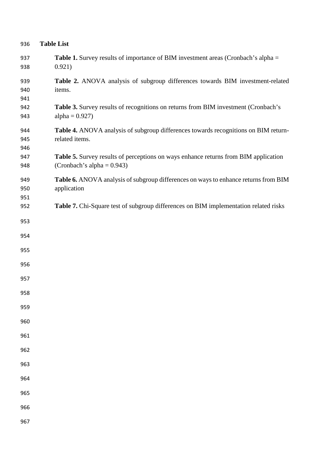| 936               | <b>Table List</b>                                                                                                    |
|-------------------|----------------------------------------------------------------------------------------------------------------------|
| 937<br>938        | <b>Table 1.</b> Survey results of importance of BIM investment areas (Cronbach's alpha =<br>0.921)                   |
| 939<br>940        | Table 2. ANOVA analysis of subgroup differences towards BIM investment-related<br>items.                             |
| 941<br>942<br>943 | Table 3. Survey results of recognitions on returns from BIM investment (Cronbach's<br>alpha = $0.927$ )              |
| 944<br>945<br>946 | Table 4. ANOVA analysis of subgroup differences towards recognitions on BIM return-<br>related items.                |
| 947<br>948        | Table 5. Survey results of perceptions on ways enhance returns from BIM application<br>(Cronbach's alpha = $0.943$ ) |
| 949<br>950<br>951 | Table 6. ANOVA analysis of subgroup differences on ways to enhance returns from BIM<br>application                   |
| 952               | Table 7. Chi-Square test of subgroup differences on BIM implementation related risks                                 |
| 953               |                                                                                                                      |
| 954<br>955        |                                                                                                                      |
| 956               |                                                                                                                      |
| 957               |                                                                                                                      |
| 958               |                                                                                                                      |
| 959               |                                                                                                                      |
| 960               |                                                                                                                      |
| 961               |                                                                                                                      |
| 962               |                                                                                                                      |
| 963<br>964        |                                                                                                                      |
| 965               |                                                                                                                      |
| 966               |                                                                                                                      |
| 967               |                                                                                                                      |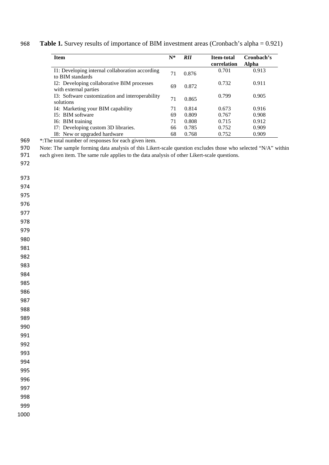| <b>Item</b>                                                         | $N^*$ | <b>RII</b> | <b>Item-total</b><br>correlation | Cronbach's<br>Alpha |
|---------------------------------------------------------------------|-------|------------|----------------------------------|---------------------|
| I1: Developing internal collaboration according<br>to BIM standards | 71    | 0.876      | 0.701                            | 0.913               |
| I2: Developing collaborative BIM processes<br>with external parties | 69    | 0.872      | 0.732                            | 0.911               |
| I3: Software customization and interoperability<br>solutions        | 71    | 0.865      | 0.799                            | 0.905               |
| I4: Marketing your BIM capability                                   | 71    | 0.814      | 0.673                            | 0.916               |
| 15: BIM software                                                    | 69    | 0.809      | 0.767                            | 0.908               |
| I6: BIM training                                                    | 71    | 0.808      | 0.715                            | 0.912               |
| I7: Developing custom 3D libraries.                                 | 66    | 0.785      | 0.752                            | 0.909               |
| I8: New or upgraded hardware                                        | 68    | 0.768      | 0.752                            | 0.909               |

**Table 1.** Survey results of importance of BIM investment areas (Cronbach's alpha = 0.921)

969 \*: The total number of responses for each given item.

970 Note: The sample forming data analysis of this Likert-scale question excludes those who selected "N/A" within

971 each given item. The same rule applies to the data analysis of other Likert-scale questions.

- 
-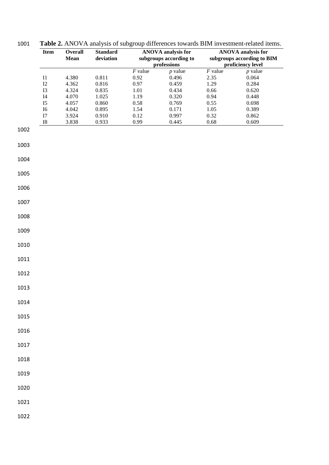|              | Item                       | Overall<br>Mean | <b>Standard</b><br>deviation |                           | <b>ANOVA</b> analysis for<br>subgroups according to |                           | <b>ANOVA</b> analysis for<br>subgroups according to BIM |
|--------------|----------------------------|-----------------|------------------------------|---------------------------|-----------------------------------------------------|---------------------------|---------------------------------------------------------|
|              |                            |                 |                              |                           | professions                                         |                           | proficiency level                                       |
|              | $\rm I1$<br>$\mathbf{I2}$  | 4.380<br>4.362  | 0.811<br>0.816               | $F$ value<br>0.92<br>0.97 | $p$ value<br>0.496<br>0.459                         | $F$ value<br>2.35<br>1.29 | $p$ value<br>0.064<br>0.284                             |
|              | I3                         | 4.324           | 0.835                        | 1.01                      | 0.434                                               | 0.66                      | 0.620                                                   |
|              | $\ensuremath{\mathsf{I4}}$ | 4.070           | 1.025                        | 1.19                      | 0.320                                               | 0.94                      | 0.448                                                   |
|              | I <sub>5</sub>             | 4.057           | 0.860                        | 0.58                      | 0.769                                               | 0.55                      | 0.698                                                   |
|              | ${\rm I6}$                 | 4.042           | 0.895                        | 1.54                      | 0.171                                               | 1.05                      | 0.389                                                   |
|              | $\mathbf{I}7$              | 3.924           | 0.910                        | 0.12                      | 0.997                                               | 0.32                      | 0.862                                                   |
|              | ${\bf I8}$                 | 3.838           | 0.933                        | 0.99                      | 0.445                                               | $0.68\,$                  | 0.609                                                   |
| 1002         |                            |                 |                              |                           |                                                     |                           |                                                         |
| 1003         |                            |                 |                              |                           |                                                     |                           |                                                         |
| 1004         |                            |                 |                              |                           |                                                     |                           |                                                         |
| 1005         |                            |                 |                              |                           |                                                     |                           |                                                         |
| 1006         |                            |                 |                              |                           |                                                     |                           |                                                         |
| 1007         |                            |                 |                              |                           |                                                     |                           |                                                         |
| 1008         |                            |                 |                              |                           |                                                     |                           |                                                         |
| 1009         |                            |                 |                              |                           |                                                     |                           |                                                         |
| 1010         |                            |                 |                              |                           |                                                     |                           |                                                         |
| 1011         |                            |                 |                              |                           |                                                     |                           |                                                         |
| 1012         |                            |                 |                              |                           |                                                     |                           |                                                         |
| 1013         |                            |                 |                              |                           |                                                     |                           |                                                         |
| 1014         |                            |                 |                              |                           |                                                     |                           |                                                         |
| 1015         |                            |                 |                              |                           |                                                     |                           |                                                         |
| 1016         |                            |                 |                              |                           |                                                     |                           |                                                         |
| 1017         |                            |                 |                              |                           |                                                     |                           |                                                         |
| 1018<br>1019 |                            |                 |                              |                           |                                                     |                           |                                                         |
| 1020         |                            |                 |                              |                           |                                                     |                           |                                                         |
| 1021         |                            |                 |                              |                           |                                                     |                           |                                                         |
| 1022         |                            |                 |                              |                           |                                                     |                           |                                                         |

1001 **Table 2.** ANOVA analysis of subgroup differences towards BIM investment-related items.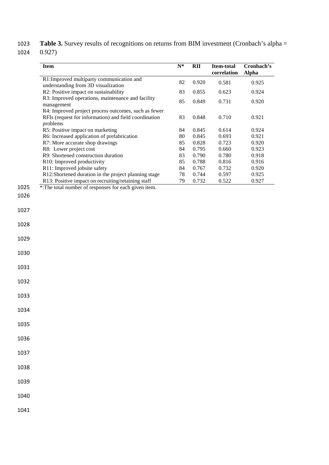1023 Table 3. Survey results of recognitions on returns from BIM investment (Cronbach's alpha = 1024 0.927)

| <b>Item</b>                                                                                                               | $N^*$ | <b>RII</b> | <b>Item-total</b><br>correlation | Cronbach's<br><b>Alpha</b> |
|---------------------------------------------------------------------------------------------------------------------------|-------|------------|----------------------------------|----------------------------|
| R1: Improved multiparty communication and<br>understanding from 3D visualization                                          | 82    | 0.920      | 0.581                            | 0.925                      |
| R2: Positive impact on sustainability                                                                                     | 83    | 0.855      | 0.623                            | 0.924                      |
| R3: Improved operations, maintenance and facility<br>management                                                           | 85    | 0.849      | 0.731                            | 0.920                      |
| R4: Improved project process outcomes, such as fewer<br>RFIs (request for information) and field coordination<br>problems | 83    | 0.848      | 0.710                            | 0.921                      |
| R5: Positive impact on marketing                                                                                          | 84    | 0.845      | 0.614                            | 0.924                      |
| R6: Increased application of prefabrication                                                                               | 80    | 0.845      | 0.693                            | 0.921                      |
| R7: More accurate shop drawings                                                                                           | 85    | 0.828      | 0.723                            | 0.920                      |
| R8: Lower project cost                                                                                                    | 84    | 0.795      | 0.660                            | 0.923                      |
| R9: Shortened construction duration                                                                                       | 83    | 0.790      | 0.780                            | 0.918                      |
| R <sub>10</sub> : Improved productivity                                                                                   | 85    | 0.788      | 0.816                            | 0.916                      |
| R11: Improved jobsite safety                                                                                              | 84    | 0.767      | 0.732                            | 0.920                      |
| R12:Shortened duration in the project planning stage                                                                      | 78    | 0.744      | 0.597                            | 0.925                      |
| R13: Positive impact on recruiting/retaining staff                                                                        | 79    | 0.732      | 0.522                            | 0.927                      |
| *: The total number of responses for each given item.                                                                     |       |            |                                  |                            |

- 1026
- 1027
- 1028

1029

1030

1031

1032

1033

1034

1035

1036

1037

1038

1039

1040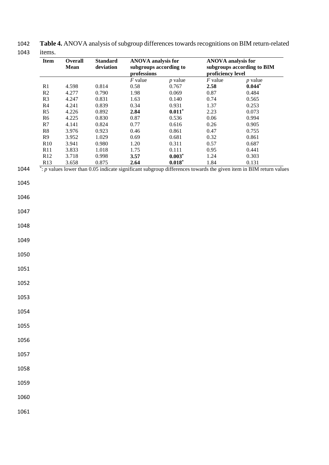| 1042 | Table 4. ANOVA analysis of subgroup differences towards recognitions on BIM return-related |
|------|--------------------------------------------------------------------------------------------|
|      | 1043 items.                                                                                |

|                  | <b>Overall</b> | <b>Standard</b> |             | <b>ANOVA</b> analysis for | <b>ANOVA</b> analysis for |                                                                                                                                              |
|------------------|----------------|-----------------|-------------|---------------------------|---------------------------|----------------------------------------------------------------------------------------------------------------------------------------------|
|                  | <b>Mean</b>    | deviation       |             | subgroups according to    |                           | subgroups according to BIM                                                                                                                   |
|                  |                |                 | professions |                           | proficiency level         |                                                                                                                                              |
|                  |                |                 | $F$ value   | $p$ value                 | $F$ value                 | $p$ value                                                                                                                                    |
| R1               | 4.598          | 0.814           | 0.58        | 0.767                     | 2.58                      | $0.044*$                                                                                                                                     |
| $\mathbb{R}2$    | 4.277          | 0.790           | 1.98        | 0.069                     | $0.87\,$                  | 0.484                                                                                                                                        |
| R3               | 4.247          | 0.831           | 1.63        | 0.140                     | 0.74                      | 0.565                                                                                                                                        |
| R4               | 4.241          | 0.839           | 0.34        | 0.931                     | 1.37                      | 0.253                                                                                                                                        |
| R5               | 4.226          | 0.892           | 2.84        | $0.011*$                  | 2.23                      | 0.073                                                                                                                                        |
| R6               | 4.225          | 0.830           | 0.87        | 0.536                     | $0.06\,$                  | 0.994                                                                                                                                        |
| R7<br>${\bf R8}$ | 4.141          | 0.824           | 0.77        | 0.616                     | 0.26                      | 0.905                                                                                                                                        |
|                  | 3.976          | 0.923           | 0.46        | 0.861                     | 0.47                      | 0.755                                                                                                                                        |
| R9               | 3.952          | 1.029           | 0.69        | 0.681                     | 0.32                      | 0.861                                                                                                                                        |
| R10              | 3.941          | 0.980           | 1.20        | 0.311                     | 0.57                      | 0.687                                                                                                                                        |
| R11              | 3.833          | 1.018           | 1.75        | 0.111                     | 0.95                      | 0.441                                                                                                                                        |
| R12              | 3.718          | 0.998           | 3.57        | $0.003*$                  | 1.24                      | 0.303                                                                                                                                        |
| R13              | 3.658          | 0.875           | 2.64        | $0.018*$                  | 1.84                      | 0.131<br>$\overline{\cdot}$ : p values lower than 0.05 indicate significant subgroup differences towards the given item in BIM return values |
|                  |                |                 |             |                           |                           |                                                                                                                                              |
|                  |                |                 |             |                           |                           |                                                                                                                                              |
|                  |                |                 |             |                           |                           |                                                                                                                                              |
|                  |                |                 |             |                           |                           |                                                                                                                                              |
|                  |                |                 |             |                           |                           |                                                                                                                                              |
|                  |                |                 |             |                           |                           |                                                                                                                                              |
|                  |                |                 |             |                           |                           |                                                                                                                                              |
|                  |                |                 |             |                           |                           |                                                                                                                                              |
|                  |                |                 |             |                           |                           |                                                                                                                                              |
|                  |                |                 |             |                           |                           |                                                                                                                                              |
|                  |                |                 |             |                           |                           |                                                                                                                                              |
|                  |                |                 |             |                           |                           |                                                                                                                                              |
|                  |                |                 |             |                           |                           |                                                                                                                                              |
|                  |                |                 |             |                           |                           |                                                                                                                                              |
|                  |                |                 |             |                           |                           |                                                                                                                                              |
|                  |                |                 |             |                           |                           |                                                                                                                                              |
|                  |                |                 |             |                           |                           |                                                                                                                                              |
|                  |                |                 |             |                           |                           |                                                                                                                                              |
|                  |                |                 |             |                           |                           |                                                                                                                                              |
|                  |                |                 |             |                           |                           |                                                                                                                                              |
|                  |                |                 |             |                           |                           |                                                                                                                                              |
|                  |                |                 |             |                           |                           |                                                                                                                                              |
|                  |                |                 |             |                           |                           |                                                                                                                                              |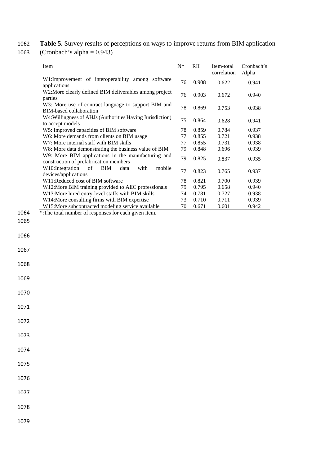1062 **Table 5.** Survey results of perceptions on ways to improve returns from BIM application

1063 (Cronbach's alpha = 0.943)

| Item                                                                                         | $N^*$ | RII   | Item-total<br>correlation | Cronbach's<br>Alpha |
|----------------------------------------------------------------------------------------------|-------|-------|---------------------------|---------------------|
| W1:Improvement of interoperability among software<br>applications                            | 76    | 0.908 | 0.622                     | 0.941               |
| W2:More clearly defined BIM deliverables among project<br>parties                            | 76    | 0.903 | 0.672                     | 0.940               |
| W3: More use of contract language to support BIM and<br><b>BIM-based collaboration</b>       | 78    | 0.869 | 0.753                     | 0.938               |
| W4: Willingness of AHJs (Authorities Having Jurisdiction)<br>to accept models                | 75    | 0.864 | 0.628                     | 0.941               |
| W5: Improved capacities of BIM software                                                      | 78    | 0.859 | 0.784                     | 0.937               |
| W6: More demands from clients on BIM usage                                                   | 77    | 0.855 | 0.721                     | 0.938               |
| W7: More internal staff with BIM skills                                                      | 77    | 0.855 | 0.731                     | 0.938               |
| W8: More data demonstrating the business value of BIM                                        | 79    | 0.848 | 0.696                     | 0.939               |
| W9: More BIM applications in the manufacturing and<br>construction of prefabrication members | 79    | 0.825 | 0.837                     | 0.935               |
| W10: Integration<br>of<br><b>BIM</b><br>with<br>data<br>mobile<br>devices/applications       | 77    | 0.823 | 0.765                     | 0.937               |
| W11:Reduced cost of BIM software                                                             | 78    | 0.821 | 0.700                     | 0.939               |
| W12:More BIM training provided to AEC professionals                                          | 79    | 0.795 | 0.658                     | 0.940               |
| W13:More hired entry-level staffs with BIM skills                                            | 74    | 0.781 | 0.727                     | 0.938               |
| W14:More consulting firms with BIM expertise                                                 | 73    | 0.710 | 0.711                     | 0.939               |
| W15:More subcontracted modeling service available                                            | 70    | 0.671 | 0.601                     | 0.942               |
| *: The total number of responses for each given item.                                        |       |       |                           |                     |
|                                                                                              |       |       |                           |                     |

1065 1066

1067

1068

1069

1070

1071

1072

1073

1074

1075

1076

1077

1078

1079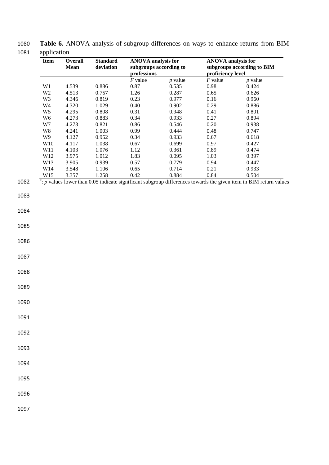| л т<br><b>Item</b>        | <b>Overall</b><br><b>Mean</b> | <b>Standard</b><br>deviation | <b>ANOVA</b> analysis for | subgroups according to | <b>ANOVA</b> analysis for | subgroups according to BIM                                                                                                 |
|---------------------------|-------------------------------|------------------------------|---------------------------|------------------------|---------------------------|----------------------------------------------------------------------------------------------------------------------------|
|                           |                               |                              | professions               |                        | proficiency level         |                                                                                                                            |
|                           |                               |                              | $F$ value                 | $p$ value              | $F$ value                 | $p$ value                                                                                                                  |
| W1                        | 4.539                         | 0.886                        | 0.87                      | 0.535                  | 0.98                      | 0.424                                                                                                                      |
| $\rm W2$                  | 4.513                         | 0.757                        | 1.26                      | 0.287                  | 0.65                      | 0.626                                                                                                                      |
| W3                        | 4.346                         | 0.819                        | 0.23                      | 0.977                  | 0.16                      | 0.960                                                                                                                      |
| $\,$ W4<br>W <sub>5</sub> | 4.320                         | 1.029<br>0.808               | 0.40<br>0.31              | 0.902                  | 0.29<br>0.41              | 0.886<br>0.801                                                                                                             |
| W <sub>6</sub>            | 4.295<br>4.273                | 0.883                        | 0.34                      | 0.948<br>0.933         | 0.27                      | 0.894                                                                                                                      |
| $\ensuremath{\text{W}}7$  | 4.273                         | 0.821                        | 0.86                      | 0.546                  | 0.20                      | 0.938                                                                                                                      |
| $\,$ W8 $\,$              | 4.241                         | 1.003                        | 0.99                      | 0.444                  | 0.48                      | 0.747                                                                                                                      |
| W9                        | 4.127                         | 0.952                        | 0.34                      | 0.933                  | 0.67                      | 0.618                                                                                                                      |
| W10                       | 4.117                         | 1.038                        | 0.67                      | 0.699                  | 0.97                      | 0.427                                                                                                                      |
| W11                       | 4.103                         | 1.076                        | 1.12                      | 0.361                  | 0.89                      | 0.474                                                                                                                      |
| W12                       | 3.975                         | 1.012                        | 1.83                      | 0.095                  | 1.03                      | 0.397                                                                                                                      |
| W13                       | 3.905                         | 0.939                        | 0.57                      | 0.779                  | 0.94                      | 0.447                                                                                                                      |
| W14                       | 3.548                         | 1.106                        | 0.65                      | 0.714                  | 0.21                      | 0.933                                                                                                                      |
| W15                       | 3.357                         | 1.258                        | 0.42                      | 0.884                  | 0.84                      | 0.504                                                                                                                      |
|                           |                               |                              |                           |                        |                           | $\dot{ }$ : p values lower than 0.05 indicate significant subgroup differences towards the given item in BIM return values |
|                           |                               |                              |                           |                        |                           |                                                                                                                            |
|                           |                               |                              |                           |                        |                           |                                                                                                                            |
|                           |                               |                              |                           |                        |                           |                                                                                                                            |
|                           |                               |                              |                           |                        |                           |                                                                                                                            |
|                           |                               |                              |                           |                        |                           |                                                                                                                            |
|                           |                               |                              |                           |                        |                           |                                                                                                                            |
|                           |                               |                              |                           |                        |                           |                                                                                                                            |
|                           |                               |                              |                           |                        |                           |                                                                                                                            |
|                           |                               |                              |                           |                        |                           |                                                                                                                            |
|                           |                               |                              |                           |                        |                           |                                                                                                                            |
|                           |                               |                              |                           |                        |                           |                                                                                                                            |
|                           |                               |                              |                           |                        |                           |                                                                                                                            |
|                           |                               |                              |                           |                        |                           |                                                                                                                            |
|                           |                               |                              |                           |                        |                           |                                                                                                                            |
|                           |                               |                              |                           |                        |                           |                                                                                                                            |
|                           |                               |                              |                           |                        |                           |                                                                                                                            |
|                           |                               |                              |                           |                        |                           |                                                                                                                            |

1080 **Table 6.** ANOVA analysis of subgroup differences on ways to enhance returns from BIM 1081 application